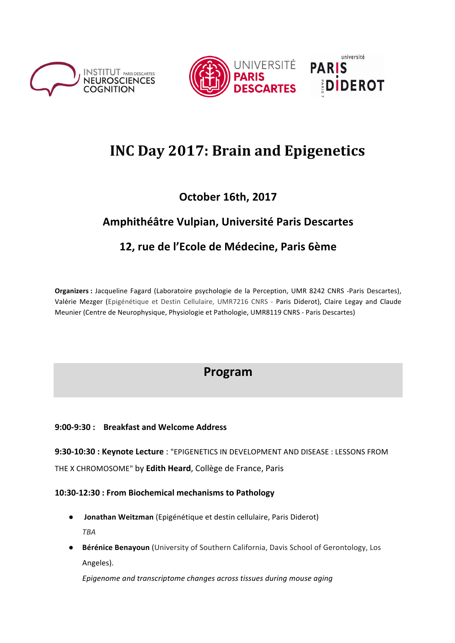





# **INC Day 2017: Brain and Epigenetics**

# **October 16th, 2017**

# **Amphithéâtre Vulpian, Université Paris Descartes**

# 12, rue de l'Ecole de Médecine, Paris 6ème

Organizers : Jacqueline Fagard (Laboratoire psychologie de la Perception, UMR 8242 CNRS -Paris Descartes), Valérie Mezger (Epigénétique et Destin Cellulaire, UMR7216 CNRS - Paris Diderot), Claire Legay and Claude Meunier (Centre de Neurophysique, Physiologie et Pathologie, UMR8119 CNRS - Paris Descartes)

# **Program**

## **9:00-9:30 : Breakfast and Welcome Address**

**9:30-10:30 : Keynote Lecture** : "EPIGENETICS IN DEVELOPMENT AND DISEASE : LESSONS FROM THE X CHROMOSOME" by **Edith Heard**, Collège de France, Paris

### **10:30-12:30 : From Biochemical mechanisms to Pathology**

- **Jonathan Weitzman** (Epigénétique et destin cellulaire, Paris Diderot) *TBA*
- **Bérénice Benayoun** (University of Southern California, Davis School of Gerontology, Los Angeles).

Epigenome and transcriptome changes across tissues during mouse aging